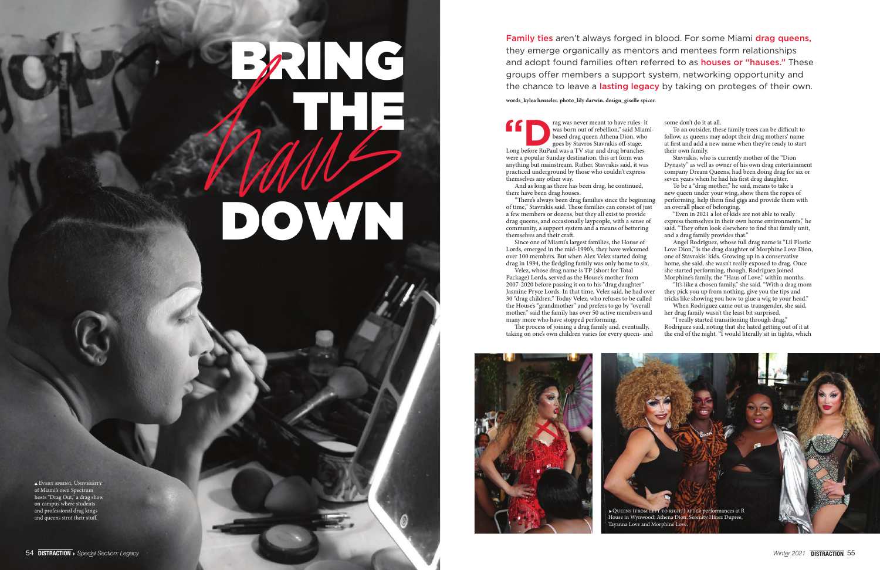## BRING THE DOWN

Every spring, University of Miami's own Spectrum hosts "Drag Out," a drag show on campus where students and professional drag kings and queens strut their stuff.

THE THE WAS NOT MUST THE WAS NOT ON THE WAS DONEY WAS DONEY WAS DONEY AND SHOW WAS STANDAPD TO SUPPOSE THAT A LONG BRANCH THAT A LONG BRANCH THAT A LONG BRANCH THAT A LONG BRANCH THAT A LONG BRANCH THAT A LONG BRANCH THAT were a popular Sunday destination, this art form was anything but mainstream. Rather, Stavrakis said, it was practiced underground by those who couldn't express themselves any other way. there have been drag houses. of time," Stavrakis said. These families can consist of just a few members or dozens, but they all exist to provide drag queens, and occasionally laypeople, with a sense of community, a support system and a means of bettering themselves and their craft. Lords, emerged in the mid-1990's, they have welcomed over 100 members. But when Alex Velez started doing drag in 1994, the fledgling family was only home to six.

And as long as there has been drag, he continued, "There's always been drag families since the beginning Since one of Miami's largest families, the House of Velez, whose drag name is TP (short for Total

Package) Lords, served as the House's mother from 2007-2020 before passing it on to his "drag daughter" Jasmine Pryce Lords. In that time, Velez said, he had over 30 "drag children." Today Velez, who refuses to be called the House's "grandmother" and prefers to go by "overall mother," said the family has over 50 active members and many more who have stopped performing.

was born out of rebellion," said Miamibased drag queen Athena Dion, who goes by Stavros Stavrakis off-stage. some don't do it at all. To an outsider, these family trees can be difficult to follow, as queens may adopt their drag mothers' name at first and add a new name when they're ready to start their own family. Stavrakis, who is currently mother of the "Dion Dynasty" as well as owner of his own drag entertainment company Dream Queens, had been doing drag for six or seven years when he had his first drag daughter. To be a "drag mother," he said, means to take a new queen under your wing, show them the ropes of performing, help them find gigs and provide them with an overall place of belonging. "Even in 2021 a lot of kids are not able to really express themselves in their own home environments," he said. "They often look elsewhere to find that family unit, and a drag family provides that." Angel Rodriguez, whose full drag name is "Lil Plastic Love Dion," is the drag daughter of Morphine Love Dion, one of Stavrakis' kids. Growing up in a conservative home, she said, she wasn't really exposed to drag. Once she started performing, though, Rodriguez joined

Family ties aren't always forged in blood. For some Miami drag queens, they emerge organically as mentors and mentees form relationships and adopt found families often referred to as **houses or "hauses."** These groups offer members a support system, networking opportunity and the chance to leave a **lasting legacy** by taking on proteges of their own.

The process of joining a drag family and, eventually, taking on one's own children varies for every queen- and Rodriguez said, noting that she hated getting out of it at the end of the night. "I would literally sit in tights, which



Morphine's family, the "Haus of Love," within months.

"It's like a chosen family," she said. "With a drag mom they pick you up from nothing, give you the tips and tricks like showing you how to glue a wig to your head." When Rodriguez came out as transgender, she said, her drag family wasn't the least bit surprised. "I really started transitioning through drag,"

**words\_kylea henseler. photo\_lily darwin. design\_giselle spicer.**